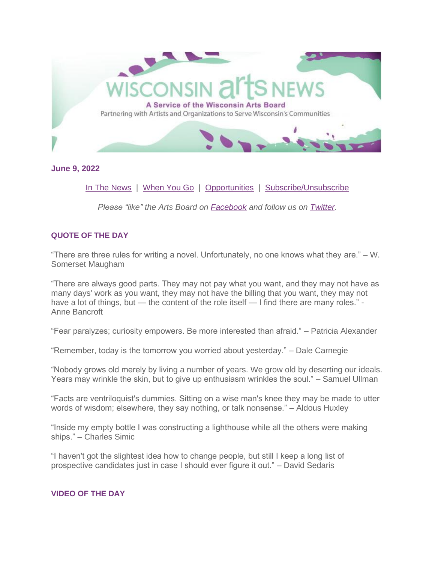

**June 9, 2022**

[In The News](#page-6-0) | [When You Go](#page-8-0) | [Opportunities](#page-9-0) | [Subscribe/Unsubscribe](#page-13-0)

*Please "like" the Arts Board on [Facebook](http://www.facebook.com/WisconsinArtsBoard) and follow us on [Twitter.](https://twitter.com/#!/@wiartsboard)*

# **QUOTE OF THE DAY**

"There are three rules for writing a novel. Unfortunately, no one knows what they are." – W. Somerset Maugham

"There are always good parts. They may not pay what you want, and they may not have as many days' work as you want, they may not have the billing that you want, they may not have a lot of things, but — the content of the role itself — I find there are many roles." -Anne Bancroft

"Fear paralyzes; curiosity empowers. Be more interested than afraid." – Patricia Alexander

"Remember, today is the tomorrow you worried about yesterday." – Dale Carnegie

"Nobody grows old merely by living a number of years. We grow old by deserting our ideals. Years may wrinkle the skin, but to give up enthusiasm wrinkles the soul." – Samuel Ullman

"Facts are ventriloquist's dummies. Sitting on a wise man's knee they may be made to utter words of wisdom; elsewhere, they say nothing, or talk nonsense." – Aldous Huxley

"Inside my empty bottle I was constructing a lighthouse while all the others were making ships." – Charles Simic

"I haven't got the slightest idea how to change people, but still I keep a long list of prospective candidates just in case I should ever figure it out." – David Sedaris

## **VIDEO OF THE DAY**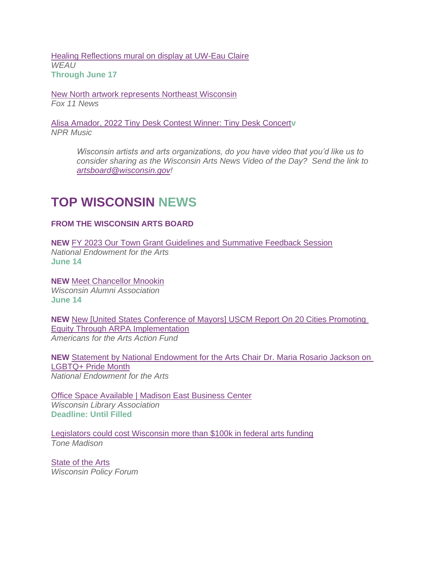[Healing Reflections mural on display at UW-Eau Claire](https://www.weau.com/2022/06/06/healing-reflections-mural-display-uw-eau-claire/) *WEAU* **Through June 17**

[New North artwork represents Northeast Wisconsin](https://fox11online.com/news/local/new-north-artwork-represents-northeast-wisconsin-gregory-frederic) *Fox 11 News*

[Alisa Amador, 2022 Tiny Desk Contest Winner: Tiny Desk Concert](https://youtu.be/sN58k8tSFXg)**v** *NPR Music*

> *Wisconsin artists and arts organizations, do you have video that you'd like us to consider sharing as the Wisconsin Arts News Video of the Day? Send the link to [artsboard@wisconsin.gov!](mailto:artsboard@wisconsin.gov)*

# **TOP WISCONSIN NEWS**

# **FROM THE WISCONSIN ARTS BOARD**

**NEW** [FY 2023 Our Town Grant Guidelines and Summative Feedback Session](https://www.arts.gov/news/events/fy-2023-our-town-grant-guidelines-and-summative-feedback-session) *National Endowment for the Arts* **June 14**

**NEW** [Meet Chancellor Mnookin](https://youtu.be/YMOQEmhIdwI) *Wisconsin Alumni Association* **June 14**

**NEW** [New \[United States Conference of Mayors\] USCM Report On 20 Cities Promoting](https://www.artsactionfund.org/new-uscm-report-20-cities-promoting-equity-through-arpa-implementation)  [Equity Through ARPA Implementation](https://www.artsactionfund.org/new-uscm-report-20-cities-promoting-equity-through-arpa-implementation) *Americans for the Arts Action Fund*

**NEW** [Statement by National Endowment for the Arts Chair Dr. Maria Rosario Jackson on](https://www.arts.gov/news/press-releases/2022/statement-national-endowment-arts-chair-dr-maria-rosario-jackson-lgbtq-pride-month)  [LGBTQ+ Pride Month](https://www.arts.gov/news/press-releases/2022/statement-national-endowment-arts-chair-dr-maria-rosario-jackson-lgbtq-pride-month) *National Endowment for the Arts*

**[Office Space Available | Madison East Business Center](https://www.wisconsinlibraries.org/index.php?option=com_content&view=article&id=3153:office-space-available-&catid=50:about-us)** *Wisconsin Library Association* **Deadline: Until Filled**

[Legislators could cost Wisconsin more than \\$100k in federal arts funding](https://tonemadison.com/articles/legislators-could-cost-wisconsin-more-than-100k-in-federal-arts-funding/) *Tone Madison*

[State of the Arts](https://www.wpr.org/sites/default/files/policyforum_artsculture.pdf) *Wisconsin Policy Forum*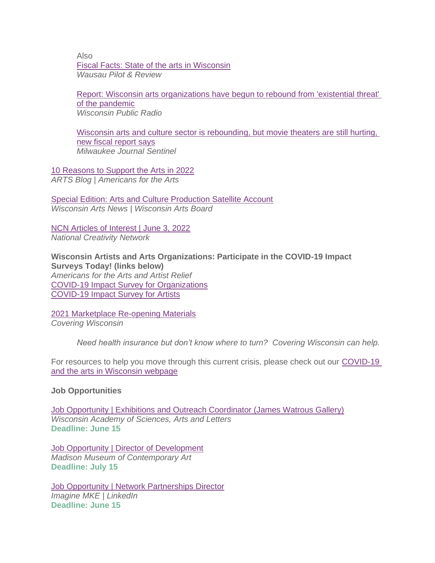Also [Fiscal Facts: State of the arts in Wisconsin](https://wausaupilotandreview.com/2022/05/07/fiscal-facts-state-of-the-arts-in-wisconsin/) *Wausau Pilot & Review*

[Report: Wisconsin arts organizations have begun to rebound from 'existential threat'](https://www.wpr.org/report-wisconsin-arts-organizations-have-begun-rebound-existential-threat-pandemic)  [of the pandemic](https://www.wpr.org/report-wisconsin-arts-organizations-have-begun-rebound-existential-threat-pandemic) *Wisconsin Public Radio*

[Wisconsin arts and culture sector is rebounding, but movie theaters are still hurting,](https://www.jsonline.com/story/entertainment/arts/2022/04/28/arts-cultures-wisconsin-policy-forum-2022/9556726002/)  [new fiscal report says](https://www.jsonline.com/story/entertainment/arts/2022/04/28/arts-cultures-wisconsin-policy-forum-2022/9556726002/) *Milwaukee Journal Sentinel*

[10 Reasons to Support the Arts in 2022](https://blog.americansforthearts.org/2022/03/21/10-reasons-to-support-the-arts-in-2022) *ARTS Blog | Americans for the Arts*

[Special Edition: Arts and Culture Production Satellite Account](https://artsboard.wisconsin.gov/Documents/DailyNewsArchive/031622specialwan.pdf) *Wisconsin Arts News | Wisconsin Arts Board*

[NCN Articles of Interest | June 3, 2022](https://img1.wsimg.com/blobby/go/0b834bc8-fc55-4fd6-b98a-95c9093d3ec1/downloads/NCNarticles060322.pdf?ver=1654275492306) *National Creativity Network*

**Wisconsin Artists and Arts Organizations: Participate in the COVID-19 Impact Surveys Today! (links below)** *Americans for the Arts and Artist Relief* [COVID-19 Impact Survey for Organizations](https://surveys.americansforthearts.org/s3/2021COVIDSURVEY) [COVID-19 Impact Survey for Artists](https://survey.alchemer.com/s3/5992718/571db9cdfa42)

[2021 Marketplace Re-opening Materials](https://www.coveringwi.org/toolkit) *Covering Wisconsin*

*Need health insurance but don't know where to turn? Covering Wisconsin can help.*

For resources to help you move through this current crisis, please check out our [COVID-19](https://artsboard.wisconsin.gov/Pages/COVID-19-Update.aspx)  [and the arts in Wisconsin webpage](https://artsboard.wisconsin.gov/Pages/COVID-19-Update.aspx)

## **Job Opportunities**

[Job Opportunity | Exhibitions and Outreach Coordinator \(James Watrous Gallery\)](https://www.wisconsinacademy.org/jobs) *Wisconsin Academy of Sciences, Arts and Letters* **Deadline: June 15**

[Job Opportunity | Director of Development](https://cdn.dirigible.studio/wp-content/uploads/2022/06/02090809/Director-of-Development-Job-posting-6-1-2022.pdf) *Madison Museum of Contemporary Art* **Deadline: July 15**

[Job Opportunity | Network Partnerships Director](https://www.linkedin.com/jobs/view/3092813992/) *Imagine MKE | LinkedIn* **Deadline: June 15**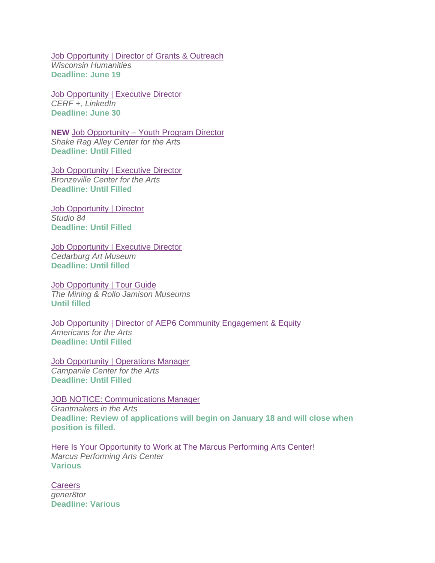[Job Opportunity | Director of Grants & Outreach](https://wisconsinhumanities.org/we-are-hiring-director-of-grants-outreach/) *Wisconsin Humanities* **Deadline: June 19**

[Job Opportunity | Executive Director](https://www.linkedin.com/jobs/collections/recommended/?currentJobId=3086690080) *CERF +, LinkedIn* **Deadline: June 30**

**NEW** Job Opportunity – [Youth Program Director](https://shakeragalley.org/ypdirector/) *Shake Rag Alley Center for the Arts* **Deadline: Until Filled**

[Job Opportunity | Executive Director](https://www.bridgepartnersllc.com/assets/pdf/Position-Description-BCA-Executive-Director.pdf) *Bronzeville Center for the Arts* **Deadline: Until Filled** 

[Job Opportunity | Director](https://www.studio84inc.org/jobs) *Studio 84* **Deadline: Until Filled**

[Job Opportunity | Executive Director](https://www.cedarburgartmuseum.org/employment) *Cedarburg Art Museum* **Deadline: Until filled**

**[Job Opportunity | Tour Guide](https://mining.jamison.museum/team/)** *The Mining & Rollo Jamison Museums* **Until filled** 

[Job Opportunity | Director of AEP6 Community Engagement & Equity](https://americanforthearts.applytojob.com/apply/GMbLPmpErM/Director-Of-AEP6-Community-Engagement-Equity) *Americans for the Arts* **Deadline: Until Filled**

[Job Opportunity | Operations Manager](https://www.campanilecenter.org/wp-content/uploads/2021/11/CCA-Operations-Mgr-Job-Description.pdf) *Campanile Center for the Arts* **Deadline: Until Filled**

[JOB NOTICE: Communications Manager](https://www.giarts.org/job-notice-communications-manager-grantmakers-arts) *Grantmakers in the Arts* **Deadline: Review of applications will begin on January 18 and will close when position is filled.**

[Here Is Your Opportunity to Work at The Marcus Performing Arts Center!](https://www.marcuscenter.org/about/employment) *Marcus Performing Arts Center* **Various**

**[Careers](https://www.gener8tor.com/careers)** *gener8tor* **Deadline: Various**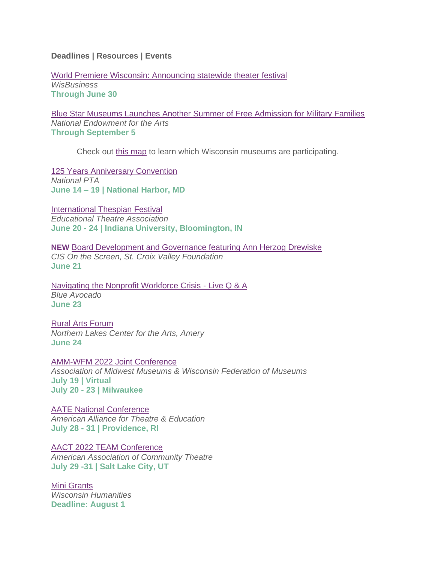**Deadlines | Resources | Events**

[World Premiere Wisconsin: Announcing statewide theater festival](https://www.wisbusiness.com/2022/world-premiere-wisconsin-announcing-statewide-theater-festival/) *WisBusiness* **Through June 30**

[Blue Star Museums Launches Another Summer of Free Admission for Military Families](https://www.arts.gov/news/press-releases/2022/blue-star-museums-launches-another-summer-free-admission-military-families) *National Endowment for the Arts* **Through September 5**

Check out [this map](https://www.arts.gov/blue-star-museum-map) to learn which Wisconsin museums are participating.

[125 Years Anniversary Convention](https://www.pta.org/home/events/National-PTA-Convention-Expo) *National PTA* **June 14 – 19 | National Harbor, MD**

[International Thespian Festival](https://itf.schooltheatre.org/) *Educational Theatre Association*  **June 20 - 24 | Indiana University, Bloomington, IN**

**NEW** [Board Development and Governance featuring Ann Herzog Drewiske](https://www.scvfoundation.org/cis-for-nonprofits) *CIS On the Screen, St. Croix Valley Foundation* **June 21**

[Navigating the Nonprofit Workforce Crisis -](https://ba.blueavocado.org/register?utm_medium=email&_hsmi=212186581&_hsenc=p2ANqtz-_SaOr_6Jf0H5YVZ-S2n8MfOm9rGgE5BZxmMMXgfpFRKIsnLCtncXETs7uAvEDtytARQGCWkSgmxZXm-arcI-1HQMn1AedRRLGD7t44bB4i9p8bJ2Q&utm_content=212186581&utm_source=hs_email) Live Q & A *Blue Avocado* **June 23**

[Rural Arts Forum](https://www.facebook.com/events/453044533289388) *Northern Lakes Center for the Arts, Amery* **June 24**

[AMM-WFM 2022 Joint Conference](https://www.ammconference.org/)

*Association of Midwest Museums & Wisconsin Federation of Museums* **July 19 | Virtual July 20 - 23 | Milwaukee**

[AATE National Conference](https://aate.memberclicks.net/2022-aate-national-conference) *American Alliance for Theatre & Education* **July 28 - 31 | Providence, RI**

[AACT 2022 TEAM Conference](https://aact.org/teams-conference) *American Association of Community Theatre* **July 29 -31 | Salt Lake City, UT**

[Mini Grants](https://wisconsinhumanities.org/grants/grants-for-humanities-programs/) *Wisconsin Humanities* **Deadline: August 1**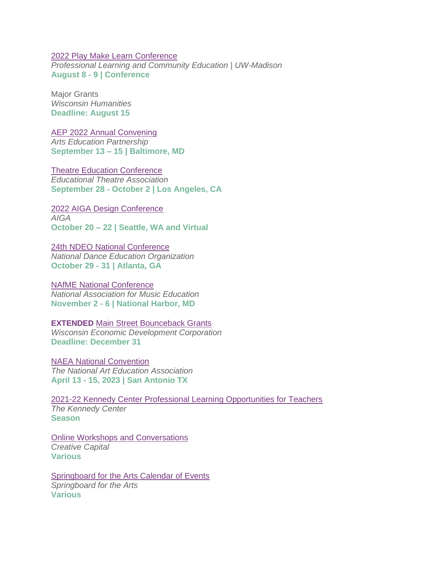#### [2022 Play Make Learn Conference](https://web.cvent.com/event/f0d9395e-fb6a-427c-9fb1-bf2b72d48d5d/summary)

*Professional Learning and Community Education | UW-Madison* **August 8 - 9 | Conference**

Major Grants *Wisconsin Humanities* **Deadline: August 15**

[AEP 2022 Annual Convening](https://www.aep-arts.org/annual-convening/2022-aep-annual-convening/) *Arts Education Partnership*  **September 13 – 15 | Baltimore, MD**

[Theatre Education Conference](https://tec.schooltheatre.org/) *Educational Theatre Association*  **September 28 - October 2 | Los Angeles, CA**

[2022 AIGA Design Conference](https://www.aiga.org/design/design-conferences/aiga-design-conference) *AIGA*

**October 20 – 22 | Seattle, WA and Virtual**

[24th NDEO National Conference](https://www.ndeo.org/Learn/Conferences/Conference-2022) *National Dance Education Organization*  **October 29 - 31 | Atlanta, GA**

[NAfME National Conference](https://nafme.org/events/2022-nafme-national-conference/) *National Association for Music Education* **November 2 - 6 | National Harbor, MD**

**EXTENDED** [Main Street Bounceback Grants](https://wedc.org/programs-and-resources/mainstreet-bounceback-grants/) *Wisconsin Economic Development Corporation*

**Deadline: December 31**

[NAEA National Convention](https://www.arteducators.org/events/national-convention/upcoming-conventions) *The National Art Education Association* **April 13 - 15, 2023 | San Antonio TX**

[2021-22 Kennedy Center Professional Learning Opportunities for Teachers](https://web.cvent.com/event/b60dba1d-c607-4db2-bb41-1c18cee5f6ae/websitePage:c19dd06d-a8d0-4ee3-9e09-4cf650805c06) *The Kennedy Center* **Season**

[Online Workshops and Conversations](https://creative-capital.org/calendar/) *Creative Capital* **Various**

[Springboard for the Arts Calendar of Events](https://springboardforthearts.org/events/) *Springboard for the Arts* **Various**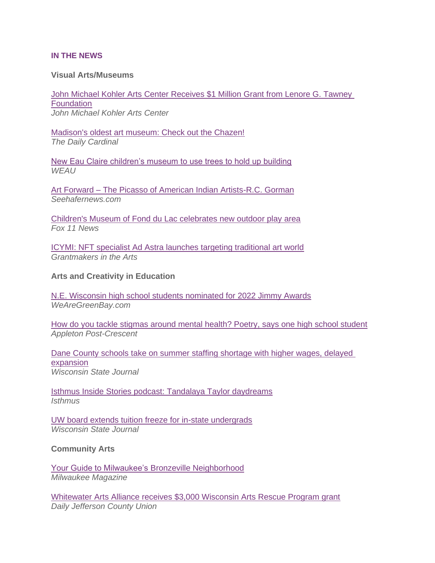#### <span id="page-6-0"></span>**IN THE NEWS**

#### **Visual Arts/Museums**

[John Michael Kohler Arts Center Receives](https://www.jmkac.org/grant-from-lenore-g-tawney-foundation/) \$1 Million Grant from Lenore G. Tawney **[Foundation](https://www.jmkac.org/grant-from-lenore-g-tawney-foundation/)** *John Michael Kohler Arts Center*

[Madison's oldest art museum: Check out the Chazen!](https://www.dailycardinal.com/article/2022/06/madisons-oldest-art-museum-check-out-the-chazen) *The Daily Cardinal* 

[New Eau Claire children's museum to use trees to hold up building](https://www.weau.com/2022/06/08/new-eau-claire-childrens-museum-use-trees-hold-up-building/) *WEAU*

Art Forward – [The Picasso of American Indian Artists-R.C. Gorman](https://www.seehafernews.com/2022/06/08/the-picasso-of-american-indian-artists-r-c-gorman/) *Seehafernews.com*

[Children's Museum of Fond du Lac celebrates new outdoor play area](https://fox11online.com/good-day-wi/childrens-museum-of-fond-du-lac-celebrates-new-outdoor-play-area-winneplaygo-bee-kind-structure-kids-fun-educational-learning) *Fox 11 News*

[ICYMI: NFT specialist Ad Astra launches targeting traditional art world](https://www.giarts.org/blog/jaime-sharp/icymi-nft-specialist-ad-astra-launches-targeting-traditional-art-world) *Grantmakers in the Arts*

#### **Arts and Creativity in Education**

[N.E. Wisconsin high school students nominated for 2022 Jimmy Awards](https://www.wearegreenbay.com/highschooltheater/n-e-wisconsin-high-school-students-nominated-for-2022-jimmy-awards/) *WeAreGreenBay.com*

[How do you tackle stigmas around mental health? Poetry, says one high school student](https://www.greenbaypressgazette.com/story/news/local/2022/06/09/appleton-north-high-school-students-read-poems-mental-illness/9949998002/) *Appleton Post-Crescent*

[Dane County schools take on summer staffing shortage with higher wages, delayed](https://madison.com/news/local/education/local_schools/dane-county-schools-take-on-summer-staffing-shortage-with-higher-wages-delayed-expansion/article_c445c57c-4122-58c4-a75c-5af08c53ae3d.html)  [expansion](https://madison.com/news/local/education/local_schools/dane-county-schools-take-on-summer-staffing-shortage-with-higher-wages-delayed-expansion/article_c445c57c-4122-58c4-a75c-5af08c53ae3d.html) *Wisconsin State Journal*

[Isthmus Inside Stories podcast: Tandalaya Taylor daydreams](https://isthmus.com/news/community/isthmus-inside-stories-tandalaya-taylor-escapes-in-daydreams/) *Isthmus*

[UW board extends tuition freeze for in-state undergrads](https://madison.com/news/local/govt-and-politics/uw-board-extends-tuition-freeze-for-in-state-undergrads/article_e5378468-5c2c-5141-b125-663bfa7bf5de.html) *Wisconsin State Journal*

**Community Arts**

[Your Guide to Milwaukee's](https://www.milwaukeemag.com/your-guide-to-milwaukees-bronzeville-neighborhood/) Bronzeville Neighborhood *Milwaukee Magazine*

[Whitewater Arts Alliance receives \\$3,000 Wisconsin Arts Rescue Program grant](https://www.dailyunion.com/news/whitewater/whitewater-arts-alliance-receives-3-000-wisconsin-arts-rescue-program-grant/article_1957eed6-e799-11ec-a9b4-db4783c4732a.html) *Daily Jefferson County Union*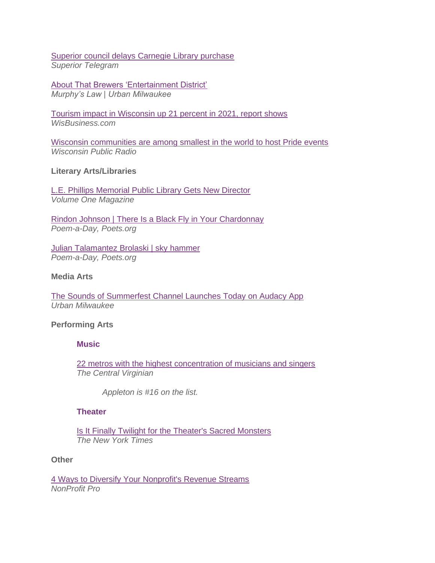# [Superior council delays Carnegie Library purchase](https://www.superiortelegram.com/news/local/superior-council-delays-carnegie-library-purchase) *Superior Telegram*

[About That Brewers 'Entertainment District'](https://urbanmilwaukee.com/2022/06/08/murphys-law-about-that-brewers-entertainment-district/) *Murphy's Law | Urban Milwaukee*

[Tourism impact in Wisconsin up 21 percent in 2021, report shows](https://www.wisbusiness.com/2022/tourism-impact-in-wisconsin-up-21-percent-in-2021-report-shows/) *WisBusiness.com*

[Wisconsin communities are among smallest in the world to host Pride events](https://www.wpr.org/wisconsin-communities-are-among-smallest-world-host-pride-events) *Wisconsin Public Radio*

## **Literary Arts/Libraries**

[L.E. Phillips Memorial Public Library Gets New Director](https://volumeone.org/articles/2022/06/08/297963-le-phillips-memorial-library-gets-a-new-director) *Volume One Magazine*

[Rindon Johnson | There Is a Black Fly in Your Chardonnay](https://poets.org/poem/there-black-fly-your-chardonnay) *Poem-a-Day, Poets.org*

[Julian Talamantez Brolaski | sky hammer](https://poets.org/poem/sky-hammer) *Poem-a-Day, Poets.org*

## **Media Arts**

[The Sounds of Summerfest Channel Launches Today on Audacy App](https://urbanmilwaukee.com/pressrelease/the-sounds-of-summerfest-channel-launches-today-on-audacy-app/) *Urban Milwaukee*

## **Performing Arts**

## **Music**

[22 metros with the highest concentration of musicians and singers](https://www.thecentralvirginian.com/entertainment/national/22-metros-with-the-highest-concentration-of-musicians-and-singers/collection_2a8fe44c-37b9-54a1-8858-137ff8eaf338.html#1) *The Central Virginian*

*Appleton is #16 on the list.*

#### **Theater**

[Is It Finally Twilight for the Theater's Sacred Monsters](https://www.nytimes.com/2022/06/08/theater/men-american-theater.html) *The New York Times*

#### **Other**

[4 Ways to Diversify Your Nonprofit's Revenue Streams](https://www.nonprofitpro.com/post/4-ways-to-diversify-your-nonprofits-revenue-streams/) *NonProfit Pro*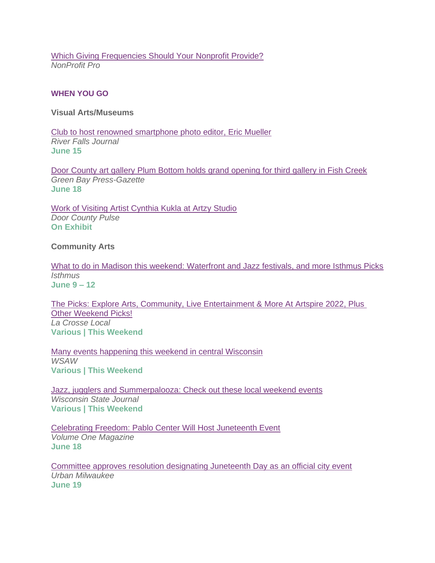[Which Giving Frequencies Should Your Nonprofit Provide?](https://www.nonprofitpro.com/post/which-giving-frequencies-should-your-nonprofit-provide/) *NonProfit Pro*

# <span id="page-8-0"></span>**WHEN YOU GO**

**Visual Arts/Museums**

[Club to host renowned smartphone photo editor, Eric Mueller](https://www.riverfallsjournal.com/news/club-to-host-renowned-smartphone-photo-editor-eric-mueller/article_b1aa24e7-842f-5dc9-8c27-6a8e397266f7.html) *River Falls Journal* **June 15**

[Door County art gallery Plum Bottom holds grand opening for third gallery in Fish Creek](https://www.greenbaypressgazette.com/story/news/local/door-co/2022/06/10/door-county-art-gallery-plum-bottom-holds-grand-opening-its-third-location-fish-creek/7569670001/) *Green Bay Press-Gazette* **June 18**

[Work of Visiting Artist Cynthia Kukla at Artzy Studio](https://doorcountypulse.com/work-of-visiting-artist-cynthia-kukla-at-artzy-studio/) *Door County Pulse* **On Exhibit**

## **Community Arts**

[What to do in Madison this weekend: Waterfront and Jazz festivals, and more Isthmus Picks](https://isthmus.com/arts/isthmus-picks-june-9-to-12-2022/) *Isthmus* **June 9 – 12** 

[The Picks: Explore Arts, Community, Live Entertainment & More At Artspire 2022, Plus](https://lacrosselocal.com/the-picks-explore-arts-community-live-entertainment-more-at-artspire-2022-plus-other-weekend-picks/)  [Other Weekend Picks!](https://lacrosselocal.com/the-picks-explore-arts-community-live-entertainment-more-at-artspire-2022-plus-other-weekend-picks/) *La Crosse Local* **Various | This Weekend**

Many events happening [this weekend in central Wisconsin](https://www.wsaw.com/2022/06/09/looking-ahead-visit-our-community-calendar-view-upcoming-events/) *WSAW* **Various | This Weekend**

[Jazz, jugglers and Summerpalooza: Check out these local weekend events](https://madison.com/entertainment/jazz-jugglers-and-summerpalooza-check-out-these-local-weekend-events/article_ebb1ece5-4dfe-57ce-9623-3b21f18ab273.html) *Wisconsin State Journal* **Various | This Weekend**

[Celebrating Freedom: Pablo Center Will Host Juneteenth Event](https://volumeone.org/articles/2022/06/09/298037-juneteenth-preview) *Volume One Magazine* **June 18**

[Committee approves resolution designating Juneteenth Day as an official city event](https://urbanmilwaukee.com/pressrelease/committee-approves-resolution-designating-juneteenth-day-as-an-official-city-event/) *Urban Milwaukee* **June 19**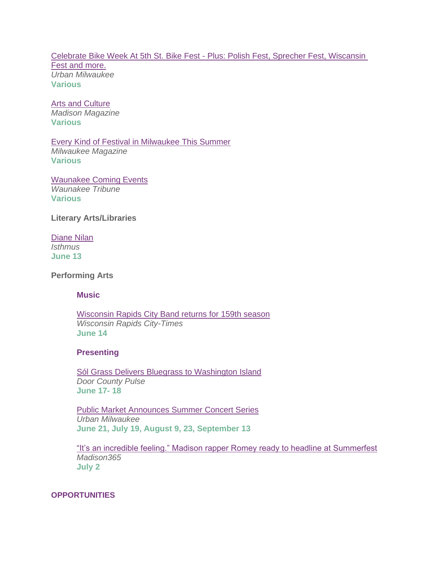[Celebrate Bike Week At 5th St. Bike Fest](https://urbanmilwaukee.com/2022/06/09/entertainment-celebrate-bike-week-at-5th-st-bike-fest/) - Plus: Polish Fest, Sprecher Fest, Wiscansin [Fest and more.](https://urbanmilwaukee.com/2022/06/09/entertainment-celebrate-bike-week-at-5th-st-bike-fest/) *Urban Milwaukee* **Various**

[Arts and Culture](https://www.channel3000.com/madison-magazine/arts-and-culture/) *Madison Magazine* **Various**

[Every Kind of Festival in Milwaukee](https://www.milwaukeemag.com/every-kind-of-festival-in-milwaukee-this-summer/) This Summer *Milwaukee Magazine* **Various**

[Waunakee Coming Events](https://www.hngnews.com/waunakee_tribune/community/arts_and_entertainment/article_b17cea22-e1b3-11ec-9f42-1b4fc35bf37e.html) *Waunakee Tribune* **Various**

**Literary Arts/Libraries**

[Diane Nilan](https://isthmus.com/events/diane-nilan/) *Isthmus* **June 13**

**Performing Arts**

**Music**

[Wisconsin Rapids City Band returns for 159th season](https://wrcitytimes.com/2022/06/09/wisconsin-rapids-city-band-returns-for-159th-season/) *Wisconsin Rapids City-Times* **June 14**

## **Presenting**

**[Sól Grass Delivers Bluegrass to Washington Island](https://doorcountypulse.com/sol-grass-delivers-bluegrass-to-washington-island/)** *Door County Pulse* **June 17- 18**

[Public Market Announces Summer Concert Series](https://urbanmilwaukee.com/pressrelease/public-market-announces-summer-concert-series/) *Urban Milwaukee* **June 21, July 19, August 9, 23, September 13**

["It's an incredible feeling." Madison rapper Romey ready to headline at Summerfest](https://madison365.com/its-an-incredible-feeling-madison-rapper-romey-ready-to-headline-at-summerfest/) *Madison365* **July 2**

<span id="page-9-0"></span>**OPPORTUNITIES**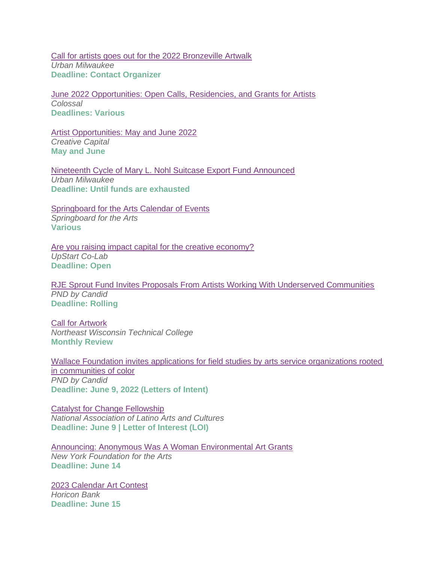[Call for artists goes out for the 2022 Bronzeville Artwalk](https://urbanmilwaukee.com/pressrelease/call-for-artists-goes-out-for-the-2022-bronzeville-artwalk/) *Urban Milwaukee* **Deadline: Contact Organizer**

[June 2022 Opportunities: Open Calls, Residencies, and Grants for Artists](https://www.thisiscolossal.com/2022/06/june-2022-opportunities-for-artists/) *Colossal* **Deadlines: Various**

[Artist Opportunities: May and June 2022](https://creative-capital.org/2022/04/29/artist-opportunities-may-and-june-2022/) *Creative Capital* **May and June**

[Nineteenth Cycle of Mary L. Nohl Suitcase Export Fund Announced](https://urbanmilwaukee.com/pressrelease/nineteenth-cycle-of-mary-l-nohl-suitcase-export-fund-announced/) *Urban Milwaukee* **Deadline: Until funds are exhausted**

**[Springboard for the Arts Calendar of Events](https://springboardforthearts.org/events/)** *Springboard for the Arts* **Various**

[Are you raising impact capital for the creative economy?](https://upstartco-lab.org/pipeline/) *UpStart Co-Lab* **Deadline: Open**

[RJE Sprout Fund Invites Proposals From Artists Working With Underserved Communities](https://philanthropynewsdigest.org/rfps/rfp12475-rje-sprout-fund-invites-proposals-from-artists-working-with-underserved-communities) *PND by Candid* **Deadline: Rolling**

[Call for Artwork](https://www.nwtc.edu/about-nwtc/places/call-for-artwork) *Northeast Wisconsin Technical College* **Monthly Review**

[Wallace Foundation invites applications for field studies by arts service organizations rooted](https://philanthropynewsdigest.org/rfps/rfp13810-wallace-foundation-invites-applications-for-field-studies-by-arts-service-organizations-rooted-in-communities-of-color)  [in communities of color](https://philanthropynewsdigest.org/rfps/rfp13810-wallace-foundation-invites-applications-for-field-studies-by-arts-service-organizations-rooted-in-communities-of-color) *PND by Candid* **Deadline: June 9, 2022 (Letters of Intent)** 

[Catalyst for Change Fellowship](https://www.nalac.org/grants/nalac-fund-for-the-arts/catalyst-for-change-award/) *National Association of Latino Arts and Cultures* **Deadline: June 9 | Letter of Interest (LOI)** 

[Announcing: Anonymous Was A Woman Environmental Art Grants](https://www.nyfa.org/blog/announcing-anonymous-was-a-woman-environmental-art-grants/) *New York Foundation for the Arts* **Deadline: June 14**

[2023 Calendar Art Contest](https://www.horiconbank.com/calendar-art-contest.html) *Horicon Bank* **Deadline: June 15**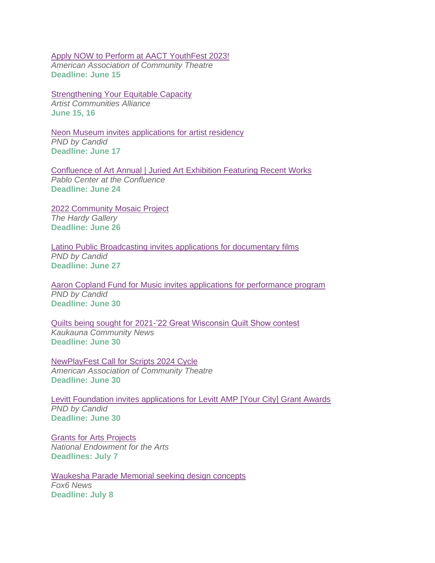[Apply NOW to Perform at AACT YouthFest 2023!](https://aact.org/youthfest-2023) *American Association of Community Theatre* **Deadline: June 15**

[Strengthening Your Equitable Capacity](https://artistcommunities.org/equitable-capacity-workshops) *Artist Communities Alliance* **June 15, 16**

[Neon Museum invites applications for artist residency](https://philanthropynewsdigest.org/rfps/rfp13751-neon-museum-invites-applications-for-artist-residency) *PND by Candid* **Deadline: June 17**

[Confluence of Art Annual | Juried Art](https://www.pablocenter.org/assets/files/2022/04/22_coaa-registration-form.pdf) Exhibition Featuring Recent Works *Pablo Center at the Confluence* **Deadline: June 24**

[2022 Community Mosaic Project](https://thehardy.org/what-we-do/outreach/community-mosaic-project.html) *The Hardy Gallery* **Deadline: June 26**

[Latino Public Broadcasting invites applications for documentary films](https://philanthropynewsdigest.org/rfps/rfp13831-latino-public-broadcasting-invites-applications-for-documentary-films) *PND by Candid* **Deadline: June 27**

[Aaron Copland Fund for Music invites applications for performance program](https://philanthropynewsdigest.org/rfps/rfp13827-aaron-copland-fund-for-music-invites-applications-for-performance-program) *PND by Candid* **Deadline: June 30** 

[Quilts being sought for 2021-'22 Great Wisconsin Quilt Show contest](https://kaukaunacommunitynews.com/2022/06/02/quilts-being-sought-for-2021-22-great-wisconsin-quilt-show-contest/) *Kaukauna Community News* **Deadline: June 30**

[NewPlayFest Call for Scripts 2024 Cycle](https://aact.org/newplayfest-call-scripts) *American Association of Community Theatre* **Deadline: June 30**

[Levitt Foundation invites applications for Levitt AMP \[Your City\] Grant Awards](https://philanthropynewsdigest.org/rfps/rfp13753-levitt-foundation-invites-applications-for-levitt-amp-your-city-grant-awards) *PND by Candid* **Deadline: June 30**

[Grants for Arts Projects](https://www.arts.gov/grants/grants-for-arts-projects) *National Endowment for the Arts* **Deadlines: July 7**

[Waukesha Parade Memorial seeking design concepts](https://www.fox6now.com/news/waukesha-parade-memorial-seeking-design-concepts) *Fox6 News* **Deadline: July 8**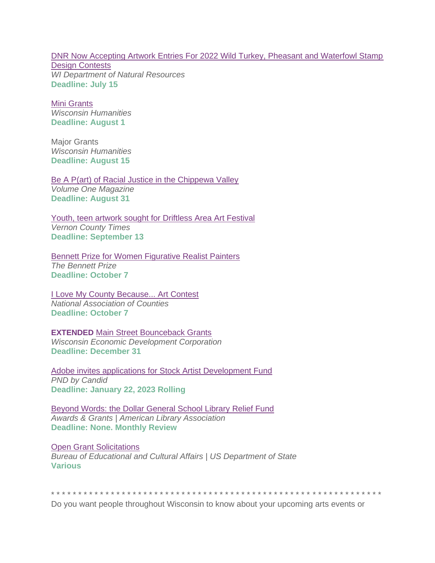[DNR Now Accepting Artwork Entries For 2022 Wild Turkey, Pheasant and Waterfowl Stamp](https://dnr.wisconsin.gov/newsroom/release/53286)  [Design Contests](https://dnr.wisconsin.gov/newsroom/release/53286) *WI Department of Natural Resources* **Deadline: July 15**

[Mini Grants](https://wisconsinhumanities.org/grants/grants-for-humanities-programs/) *Wisconsin Humanities* **Deadline: August 1**

Major Grants *Wisconsin Humanities* **Deadline: August 15**

[Be A P\(art\) of Racial Justice in the Chippewa Valley](https://volumeone.org/articles/2022/04/27/295275-be-a-part-of-racial-justice-in-the-chippewa) *Volume One Magazine* **Deadline: August 31**

[Youth, teen artwork sought for Driftless Area Art Festival](https://lacrossetribune.com/community/vernonbroadcaster/news/youth-teen-artwork-sought-for-driftless-area-art-festival/article_a8658d5d-ad54-57b0-99ad-4e5ec29d6e15.html) *Vernon County Times* **Deadline: September 13**

[Bennett Prize for Women Figurative Realist Painters](https://thebennettprize.org/) *The Bennett Prize* **Deadline: October 7**

[I Love My County Because... Art Contest](https://www.naco.org/resources/i-love-my-county-because-art-contest) *National Association of Counties* **Deadline: October 7**

**EXTENDED** [Main Street Bounceback Grants](https://wedc.org/programs-and-resources/mainstreet-bounceback-grants/) *Wisconsin Economic Development Corporation* **Deadline: December 31**

[Adobe invites applications for Stock Artist Development Fund](https://philanthropynewsdigest.org/rfps/rfp13701-adobe-invites-applications-for-stock-artist-development-fund) *PND by Candid* **Deadline: January 22, 2023 Rolling**

[Beyond Words: the Dollar General School Library Relief Fund](http://www.ala.org/awardsgrants/awards/166/apply) *Awards & Grants | American Library Association* **Deadline: None. Monthly Review**

[Open Grant Solicitations](http://eca.state.gov/organizational-funding/open-grant-solicitations) *Bureau of Educational and Cultural Affairs | US Department of State* **Various**

\* \* \* \* \* \* \* \* \* \* \* \* \* \* \* \* \* \* \* \* \* \* \* \* \* \* \* \* \* \* \* \* \* \* \* \* \* \* \* \* \* \* \* \* \* \* \* \* \* \* \* \* \* \* \* \* \* \* \* \* \*

Do you want people throughout Wisconsin to know about your upcoming arts events or